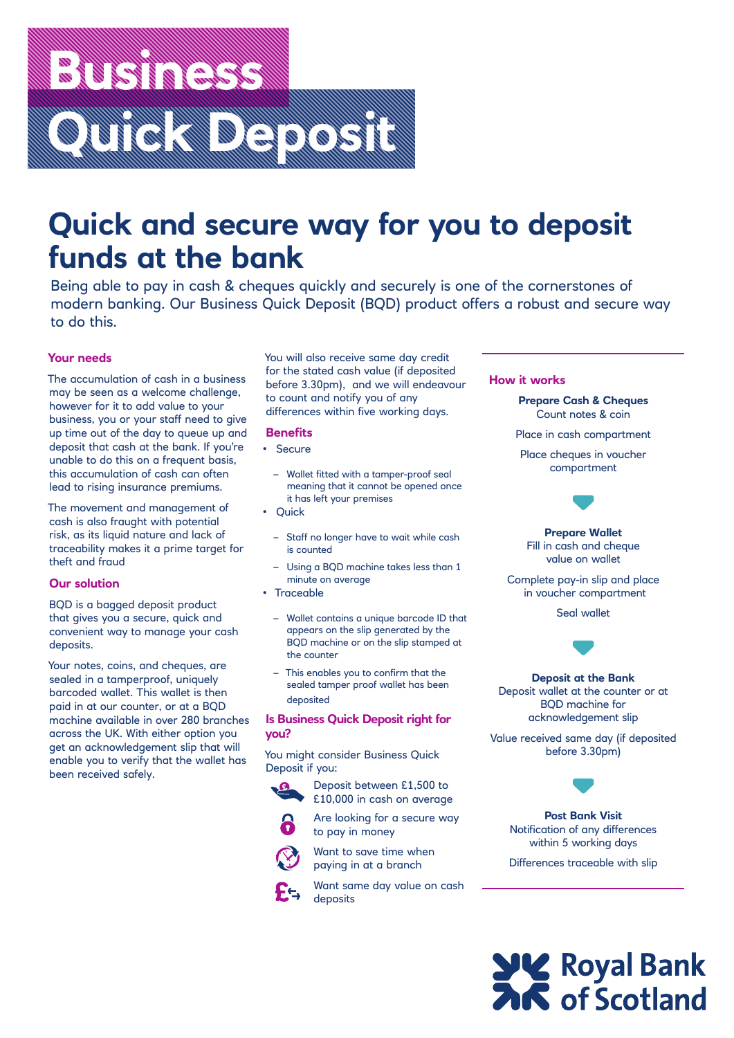# **Business Strategy of the Second Strategy**<br>Business Strategy of the Maritime **Quick Depthison**

## **Quick and secure way for you to deposit funds at the bank**

Being able to pay in cash & cheques quickly and securely is one of the cornerstones of modern banking. Our Business Quick Deposit (BQD) product offers a robust and secure way to do this.

### **Your needs**

The accumulation of cash in a business may be seen as a welcome challenge, however for it to add value to your business, you or your staff need to give up time out of the day to queue up and deposit that cash at the bank. If you're unable to do this on a frequent basis, this accumulation of cash can often lead to rising insurance premiums.

The movement and management of cash is also fraught with potential risk, as its liquid nature and lack of traceability makes it a prime target for theft and fraud

#### **Our solution**

BQD is a bagged deposit product that gives you a secure, quick and convenient way to manage your cash deposits.

Your notes, coins, and cheques, are sealed in a tamperproof, uniquely barcoded wallet. This wallet is then paid in at our counter, or at a BQD machine available in over 280 branches across the UK. With either option you get an acknowledgement slip that will enable you to verify that the wallet has been received safely.

You will also receive same day credit for the stated cash value (if deposited before 3.30pm), and we will endeavour to count and notify you of any differences within five working days.

#### **Benefits**

- Secure
	- Wallet fitted with a tamper-proof seal meaning that it cannot be opened once it has left your premises
- Quick
	- Staff no longer have to wait while cash is counted
	- Using a BQD machine takes less than 1 minute on average
- Traceable
	- Wallet contains a unique barcode ID that appears on the slip generated by the BQD machine or on the slip stamped at the counter
	- This enables you to confirm that the sealed tamper proof wallet has been deposited

#### **Is Business Quick Deposit right for you?**

You might consider Business Quick Deposit if you:

Deposit between £1,500 to £10,000 in cash on average



- Are looking for a secure way to pay in money
- - Want to save time when paying in at a branch
	- Want same day value on cash deposits

### **How it works**

**Prepare Cash & Cheques** Count notes & coin

Place in cash compartment

Place cheques in voucher compartment



**Prepare Wallet** Fill in cash and cheque value on wallet

Complete pay-in slip and place in voucher compartment

Seal wallet



**Deposit at the Bank** Deposit wallet at the counter or at BQD machine for acknowledgement slip

Value received same day (if deposited before 3.30pm)



**Post Bank Visit** Notification of any differences within 5 working days

Differences traceable with slip